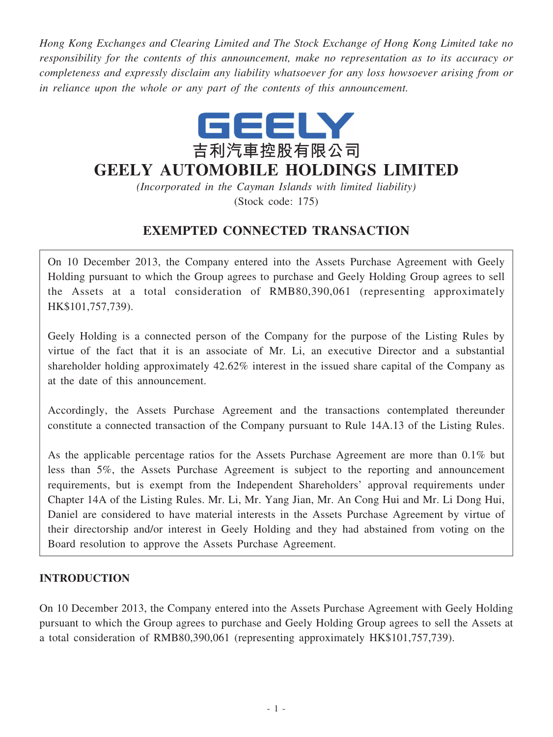*Hong Kong Exchanges and Clearing Limited and The Stock Exchange of Hong Kong Limited take no responsibility for the contents of this announcement, make no representation as to its accuracy or completeness and expressly disclaim any liability whatsoever for any loss howsoever arising from or in reliance upon the whole or any part of the contents of this announcement.*



# **GEELY AUTOMOBILE HOLDINGS LIMITED**

*(Incorporated in the Cayman Islands with limited liability)* (Stock code: 175)

## **EXEMPTED CONNECTED TRANSACTION**

On 10 December 2013, the Company entered into the Assets Purchase Agreement with Geely Holding pursuant to which the Group agrees to purchase and Geely Holding Group agrees to sell the Assets at a total consideration of RMB80,390,061 (representing approximately HK\$101,757,739).

Geely Holding is a connected person of the Company for the purpose of the Listing Rules by virtue of the fact that it is an associate of Mr. Li, an executive Director and a substantial shareholder holding approximately 42.62% interest in the issued share capital of the Company as at the date of this announcement.

Accordingly, the Assets Purchase Agreement and the transactions contemplated thereunder constitute a connected transaction of the Company pursuant to Rule 14A.13 of the Listing Rules.

As the applicable percentage ratios for the Assets Purchase Agreement are more than 0.1% but less than 5%, the Assets Purchase Agreement is subject to the reporting and announcement requirements, but is exempt from the Independent Shareholders' approval requirements under Chapter 14A of the Listing Rules. Mr. Li, Mr. Yang Jian, Mr. An Cong Hui and Mr. Li Dong Hui, Daniel are considered to have material interests in the Assets Purchase Agreement by virtue of their directorship and/or interest in Geely Holding and they had abstained from voting on the Board resolution to approve the Assets Purchase Agreement.

### **INTRODUCTION**

On 10 December 2013, the Company entered into the Assets Purchase Agreement with Geely Holding pursuant to which the Group agrees to purchase and Geely Holding Group agrees to sell the Assets at a total consideration of RMB80,390,061 (representing approximately HK\$101,757,739).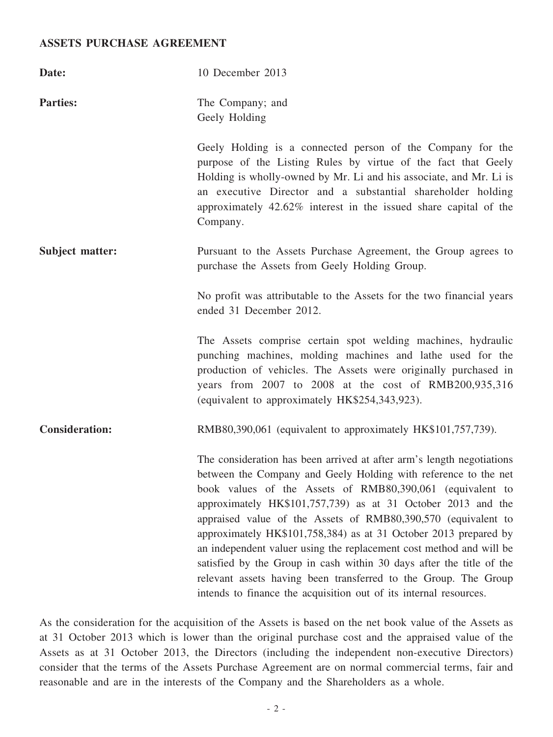#### **ASSETS PURCHASE AGREEMENT**

| Date:                 | 10 December 2013                                                                                                                                                                                                                                                                                                                                                                                                                                                                                                                                                                                                                                                                                  |
|-----------------------|---------------------------------------------------------------------------------------------------------------------------------------------------------------------------------------------------------------------------------------------------------------------------------------------------------------------------------------------------------------------------------------------------------------------------------------------------------------------------------------------------------------------------------------------------------------------------------------------------------------------------------------------------------------------------------------------------|
| <b>Parties:</b>       | The Company; and<br>Geely Holding                                                                                                                                                                                                                                                                                                                                                                                                                                                                                                                                                                                                                                                                 |
|                       | Geely Holding is a connected person of the Company for the<br>purpose of the Listing Rules by virtue of the fact that Geely<br>Holding is wholly-owned by Mr. Li and his associate, and Mr. Li is<br>an executive Director and a substantial shareholder holding<br>approximately 42.62% interest in the issued share capital of the<br>Company.                                                                                                                                                                                                                                                                                                                                                  |
| Subject matter:       | Pursuant to the Assets Purchase Agreement, the Group agrees to<br>purchase the Assets from Geely Holding Group.                                                                                                                                                                                                                                                                                                                                                                                                                                                                                                                                                                                   |
|                       | No profit was attributable to the Assets for the two financial years<br>ended 31 December 2012.                                                                                                                                                                                                                                                                                                                                                                                                                                                                                                                                                                                                   |
|                       | The Assets comprise certain spot welding machines, hydraulic<br>punching machines, molding machines and lathe used for the<br>production of vehicles. The Assets were originally purchased in<br>years from 2007 to 2008 at the cost of RMB200,935,316<br>(equivalent to approximately HK\$254,343,923).                                                                                                                                                                                                                                                                                                                                                                                          |
| <b>Consideration:</b> | RMB80,390,061 (equivalent to approximately HK\$101,757,739).                                                                                                                                                                                                                                                                                                                                                                                                                                                                                                                                                                                                                                      |
|                       | The consideration has been arrived at after arm's length negotiations<br>between the Company and Geely Holding with reference to the net<br>book values of the Assets of RMB80,390,061 (equivalent to<br>approximately HK\$101,757,739) as at 31 October 2013 and the<br>appraised value of the Assets of RMB80,390,570 (equivalent to<br>approximately HK\$101,758,384) as at 31 October 2013 prepared by<br>an independent valuer using the replacement cost method and will be<br>satisfied by the Group in cash within 30 days after the title of the<br>relevant assets having been transferred to the Group. The Group<br>intends to finance the acquisition out of its internal resources. |

As the consideration for the acquisition of the Assets is based on the net book value of the Assets as at 31 October 2013 which is lower than the original purchase cost and the appraised value of the Assets as at 31 October 2013, the Directors (including the independent non-executive Directors) consider that the terms of the Assets Purchase Agreement are on normal commercial terms, fair and reasonable and are in the interests of the Company and the Shareholders as a whole.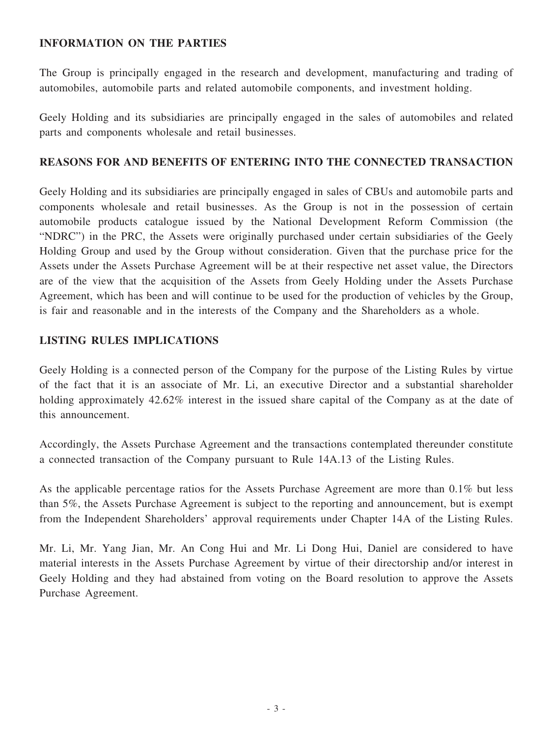#### **INFORMATION ON THE PARTIES**

The Group is principally engaged in the research and development, manufacturing and trading of automobiles, automobile parts and related automobile components, and investment holding.

Geely Holding and its subsidiaries are principally engaged in the sales of automobiles and related parts and components wholesale and retail businesses.

#### **REASONS FOR AND BENEFITS OF ENTERING INTO THE CONNECTED TRANSACTION**

Geely Holding and its subsidiaries are principally engaged in sales of CBUs and automobile parts and components wholesale and retail businesses. As the Group is not in the possession of certain automobile products catalogue issued by the National Development Reform Commission (the "NDRC") in the PRC, the Assets were originally purchased under certain subsidiaries of the Geely Holding Group and used by the Group without consideration. Given that the purchase price for the Assets under the Assets Purchase Agreement will be at their respective net asset value, the Directors are of the view that the acquisition of the Assets from Geely Holding under the Assets Purchase Agreement, which has been and will continue to be used for the production of vehicles by the Group, is fair and reasonable and in the interests of the Company and the Shareholders as a whole.

#### **LISTING RULES IMPLICATIONS**

Geely Holding is a connected person of the Company for the purpose of the Listing Rules by virtue of the fact that it is an associate of Mr. Li, an executive Director and a substantial shareholder holding approximately 42.62% interest in the issued share capital of the Company as at the date of this announcement.

Accordingly, the Assets Purchase Agreement and the transactions contemplated thereunder constitute a connected transaction of the Company pursuant to Rule 14A.13 of the Listing Rules.

As the applicable percentage ratios for the Assets Purchase Agreement are more than 0.1% but less than 5%, the Assets Purchase Agreement is subject to the reporting and announcement, but is exempt from the Independent Shareholders' approval requirements under Chapter 14A of the Listing Rules.

Mr. Li, Mr. Yang Jian, Mr. An Cong Hui and Mr. Li Dong Hui, Daniel are considered to have material interests in the Assets Purchase Agreement by virtue of their directorship and/or interest in Geely Holding and they had abstained from voting on the Board resolution to approve the Assets Purchase Agreement.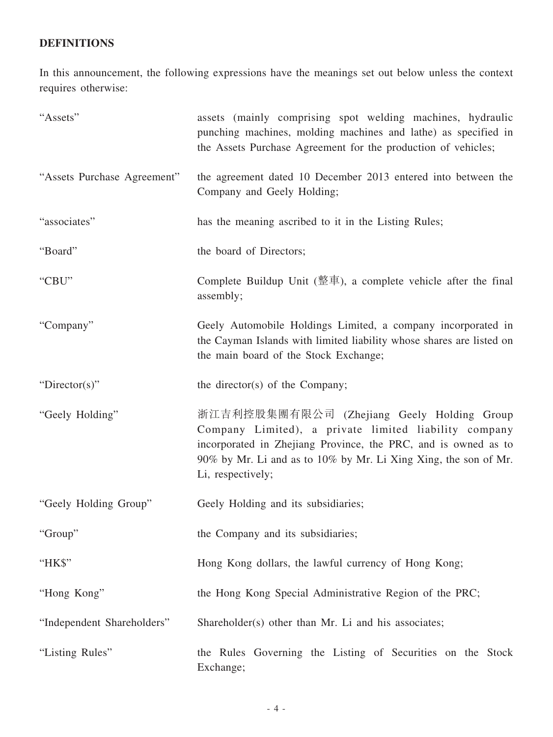## **DEFINITIONS**

In this announcement, the following expressions have the meanings set out below unless the context requires otherwise:

| "Assets"                    | assets (mainly comprising spot welding machines, hydraulic<br>punching machines, molding machines and lathe) as specified in<br>the Assets Purchase Agreement for the production of vehicles;                                                                 |
|-----------------------------|---------------------------------------------------------------------------------------------------------------------------------------------------------------------------------------------------------------------------------------------------------------|
| "Assets Purchase Agreement" | the agreement dated 10 December 2013 entered into between the<br>Company and Geely Holding;                                                                                                                                                                   |
| "associates"                | has the meaning ascribed to it in the Listing Rules;                                                                                                                                                                                                          |
| "Board"                     | the board of Directors;                                                                                                                                                                                                                                       |
| "CBU"                       | Complete Buildup Unit ( $\stackrel{m}{\leq}$ $\stackrel{m}{\leq}$ ), a complete vehicle after the final<br>assembly;                                                                                                                                          |
| "Company"                   | Geely Automobile Holdings Limited, a company incorporated in<br>the Cayman Islands with limited liability whose shares are listed on<br>the main board of the Stock Exchange;                                                                                 |
| " $Directory$ "             | the director(s) of the Company;                                                                                                                                                                                                                               |
| "Geely Holding"             | 浙江吉利控股集團有限公司 (Zhejiang Geely Holding Group<br>Company Limited), a private limited liability company<br>incorporated in Zhejiang Province, the PRC, and is owned as to<br>90% by Mr. Li and as to 10% by Mr. Li Xing Xing, the son of Mr.<br>Li, respectively; |
| "Geely Holding Group"       | Geely Holding and its subsidiaries;                                                                                                                                                                                                                           |
| "Group"                     | the Company and its subsidiaries;                                                                                                                                                                                                                             |
| "HK\$"                      | Hong Kong dollars, the lawful currency of Hong Kong;                                                                                                                                                                                                          |
| "Hong Kong"                 | the Hong Kong Special Administrative Region of the PRC;                                                                                                                                                                                                       |
| "Independent Shareholders"  | Shareholder(s) other than Mr. Li and his associates;                                                                                                                                                                                                          |
| "Listing Rules"             | the Rules Governing the Listing of Securities on the Stock<br>Exchange;                                                                                                                                                                                       |